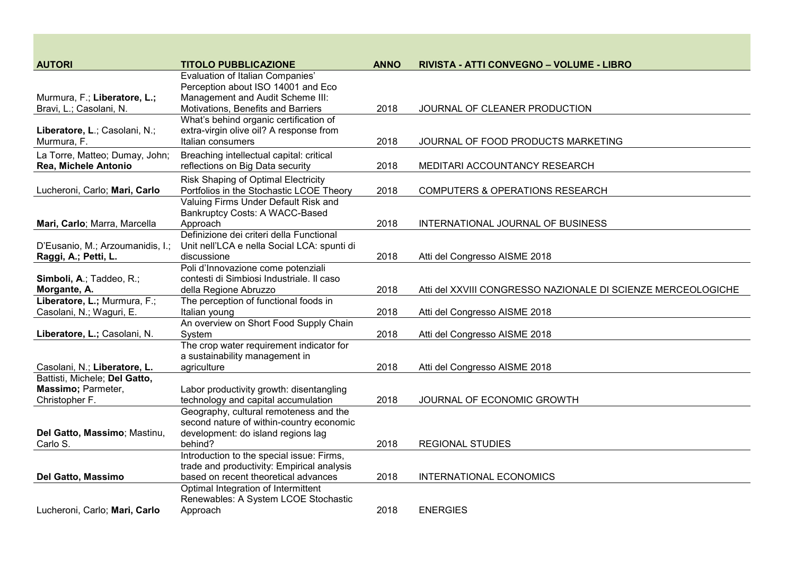| <b>AUTORI</b>                                          | <b>TITOLO PUBBLICAZIONE</b>                                                                                       | <b>ANNO</b> | RIVISTA - ATTI CONVEGNO - VOLUME - LIBRO                     |
|--------------------------------------------------------|-------------------------------------------------------------------------------------------------------------------|-------------|--------------------------------------------------------------|
| Murmura, F.; Liberatore, L.;                           | <b>Evaluation of Italian Companies'</b><br>Perception about ISO 14001 and Eco<br>Management and Audit Scheme III: |             |                                                              |
| Bravi, L.; Casolani, N.                                | Motivations, Benefits and Barriers                                                                                | 2018        | JOURNAL OF CLEANER PRODUCTION                                |
|                                                        | What's behind organic certification of                                                                            |             |                                                              |
| Liberatore, L.; Casolani, N.;<br>Murmura, F.           | extra-virgin olive oil? A response from<br>Italian consumers                                                      | 2018        | JOURNAL OF FOOD PRODUCTS MARKETING                           |
| La Torre, Matteo; Dumay, John;<br>Rea, Michele Antonio | Breaching intellectual capital: critical<br>reflections on Big Data security                                      | 2018        | MEDITARI ACCOUNTANCY RESEARCH                                |
| Lucheroni, Carlo; Mari, Carlo                          | <b>Risk Shaping of Optimal Electricity</b><br>Portfolios in the Stochastic LCOE Theory                            | 2018        | <b>COMPUTERS &amp; OPERATIONS RESEARCH</b>                   |
|                                                        | Valuing Firms Under Default Risk and<br>Bankruptcy Costs: A WACC-Based                                            |             |                                                              |
| Mari, Carlo; Marra, Marcella                           | Approach                                                                                                          | 2018        | INTERNATIONAL JOURNAL OF BUSINESS                            |
| D'Eusanio, M.; Arzoumanidis, I.;                       | Definizione dei criteri della Functional<br>Unit nell'LCA e nella Social LCA: spunti di                           |             |                                                              |
| Raggi, A.; Petti, L.                                   | discussione<br>Poli d'Innovazione come potenziali                                                                 | 2018        | Atti del Congresso AISME 2018                                |
| Simboli, A.; Taddeo, R.;                               | contesti di Simbiosi Industriale. Il caso                                                                         |             |                                                              |
| Morgante, A.                                           | della Regione Abruzzo                                                                                             | 2018        | Atti del XXVIII CONGRESSO NAZIONALE DI SCIENZE MERCEOLOGICHE |
| Liberatore, L.; Murmura, F.;                           | The perception of functional foods in                                                                             |             |                                                              |
| Casolani, N.; Waguri, E.                               | Italian young                                                                                                     | 2018        | Atti del Congresso AISME 2018                                |
| Liberatore, L.; Casolani, N.                           | An overview on Short Food Supply Chain<br>System                                                                  | 2018        | Atti del Congresso AISME 2018                                |
|                                                        | The crop water requirement indicator for                                                                          |             |                                                              |
|                                                        | a sustainability management in                                                                                    |             |                                                              |
| Casolani, N.; Liberatore, L.                           | agriculture                                                                                                       | 2018        | Atti del Congresso AISME 2018                                |
| Battisti, Michele; Del Gatto,                          |                                                                                                                   |             |                                                              |
| Massimo; Parmeter,<br>Christopher F.                   | Labor productivity growth: disentangling<br>technology and capital accumulation                                   | 2018        | JOURNAL OF ECONOMIC GROWTH                                   |
|                                                        | Geography, cultural remoteness and the                                                                            |             |                                                              |
|                                                        | second nature of within-country economic                                                                          |             |                                                              |
| Del Gatto, Massimo; Mastinu,                           | development: do island regions lag                                                                                |             |                                                              |
| Carlo S.                                               | behind?                                                                                                           | 2018        | <b>REGIONAL STUDIES</b>                                      |
|                                                        | Introduction to the special issue: Firms,                                                                         |             |                                                              |
|                                                        | trade and productivity: Empirical analysis                                                                        |             |                                                              |
| Del Gatto, Massimo                                     | based on recent theoretical advances<br>Optimal Integration of Intermittent                                       | 2018        | INTERNATIONAL ECONOMICS                                      |
|                                                        | Renewables: A System LCOE Stochastic                                                                              |             |                                                              |
| Lucheroni, Carlo; Mari, Carlo                          | Approach                                                                                                          | 2018        | <b>ENERGIES</b>                                              |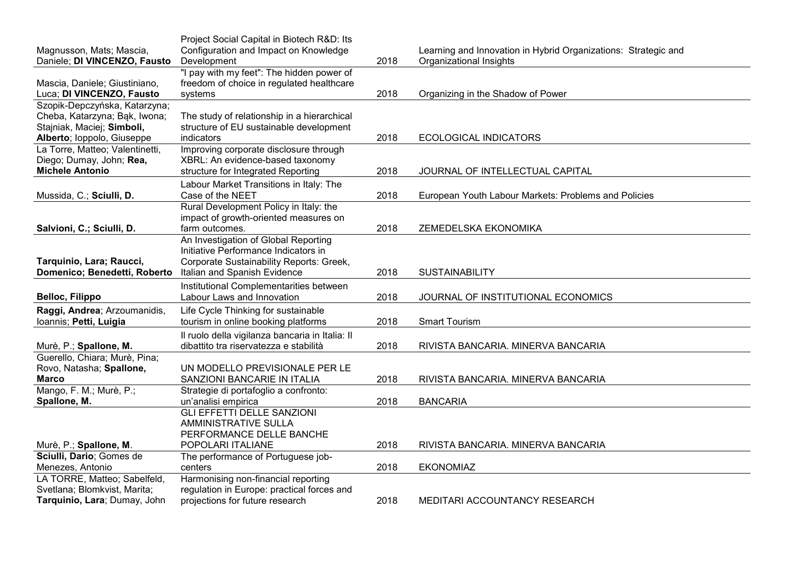| Magnusson, Mats; Mascia,        | Project Social Capital in Biotech R&D: Its<br>Configuration and Impact on Knowledge |      | Learning and Innovation in Hybrid Organizations: Strategic and |
|---------------------------------|-------------------------------------------------------------------------------------|------|----------------------------------------------------------------|
| Daniele; DI VINCENZO, Fausto    | Development                                                                         | 2018 | Organizational Insights                                        |
|                                 | "I pay with my feet": The hidden power of                                           |      |                                                                |
| Mascia, Daniele; Giustiniano,   | freedom of choice in regulated healthcare                                           |      |                                                                |
| Luca; DI VINCENZO, Fausto       | systems                                                                             | 2018 | Organizing in the Shadow of Power                              |
| Szopik-Depczyńska, Katarzyna;   |                                                                                     |      |                                                                |
| Cheba, Katarzyna; Bąk, Iwona;   | The study of relationship in a hierarchical                                         |      |                                                                |
| Stajniak, Maciej; Simboli,      | structure of EU sustainable development                                             |      |                                                                |
| Alberto; loppolo, Giuseppe      | indicators                                                                          | 2018 | <b>ECOLOGICAL INDICATORS</b>                                   |
| La Torre, Matteo; Valentinetti, | Improving corporate disclosure through                                              |      |                                                                |
| Diego; Dumay, John; Rea,        | XBRL: An evidence-based taxonomy                                                    |      |                                                                |
| <b>Michele Antonio</b>          | structure for Integrated Reporting                                                  | 2018 | JOURNAL OF INTELLECTUAL CAPITAL                                |
|                                 | Labour Market Transitions in Italy: The                                             |      |                                                                |
| Mussida, C.; Sciulli, D.        | Case of the NEET                                                                    | 2018 | European Youth Labour Markets: Problems and Policies           |
|                                 | Rural Development Policy in Italy: the                                              |      |                                                                |
|                                 | impact of growth-oriented measures on                                               |      |                                                                |
| Salvioni, C.; Sciulli, D.       | farm outcomes.                                                                      | 2018 | ZEMEDELSKA EKONOMIKA                                           |
|                                 | An Investigation of Global Reporting                                                |      |                                                                |
|                                 | Initiative Performance Indicators in                                                |      |                                                                |
| Tarquinio, Lara; Raucci,        | Corporate Sustainability Reports: Greek,                                            |      |                                                                |
| Domenico; Benedetti, Roberto    | Italian and Spanish Evidence                                                        | 2018 | <b>SUSTAINABILITY</b>                                          |
|                                 | Institutional Complementarities between                                             |      |                                                                |
| <b>Belloc, Filippo</b>          | Labour Laws and Innovation                                                          | 2018 | JOURNAL OF INSTITUTIONAL ECONOMICS                             |
| Raggi, Andrea; Arzoumanidis,    | Life Cycle Thinking for sustainable                                                 |      |                                                                |
| Ioannis; Petti, Luigia          | tourism in online booking platforms                                                 | 2018 | <b>Smart Tourism</b>                                           |
|                                 | Il ruolo della vigilanza bancaria in Italia: Il                                     |      |                                                                |
| Murè, P.; Spallone, M.          | dibattito tra riservatezza e stabilità                                              | 2018 | RIVISTA BANCARIA. MINERVA BANCARIA                             |
| Guerello, Chiara; Murè, Pina;   |                                                                                     |      |                                                                |
| Rovo, Natasha; Spallone,        | UN MODELLO PREVISIONALE PER LE                                                      |      |                                                                |
| <b>Marco</b>                    | SANZIONI BANCARIE IN ITALIA                                                         | 2018 | RIVISTA BANCARIA. MINERVA BANCARIA                             |
| Mango, F. M.; Murè, P.;         | Strategie di portafoglio a confronto:                                               |      |                                                                |
| Spallone, M.                    | un'analisi empirica                                                                 | 2018 | <b>BANCARIA</b>                                                |
|                                 | <b>GLI EFFETTI DELLE SANZIONI</b>                                                   |      |                                                                |
|                                 | <b>AMMINISTRATIVE SULLA</b>                                                         |      |                                                                |
|                                 | PERFORMANCE DELLE BANCHE                                                            |      |                                                                |
| Murè, P.; Spallone, M.          | POPOLARI ITALIANE                                                                   | 2018 | RIVISTA BANCARIA. MINERVA BANCARIA                             |
| Sciulli, Dario; Gomes de        | The performance of Portuguese job-                                                  |      |                                                                |
| Menezes, Antonio                | centers                                                                             | 2018 | <b>EKONOMIAZ</b>                                               |
| LA TORRE, Matteo; Sabelfeld,    | Harmonising non-financial reporting                                                 |      |                                                                |
| Svetlana; Blomkvist, Marita;    | regulation in Europe: practical forces and                                          |      |                                                                |
| Tarquinio, Lara; Dumay, John    | projections for future research                                                     | 2018 | MEDITARI ACCOUNTANCY RESEARCH                                  |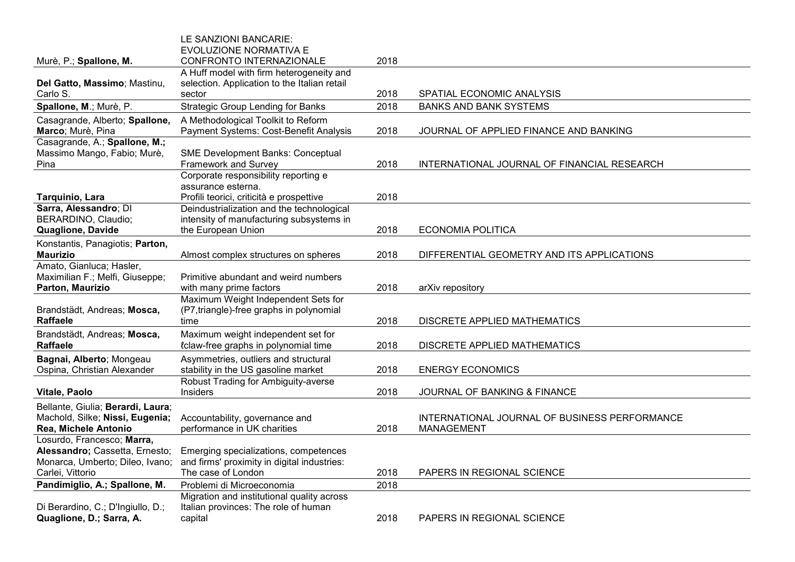|                                   | LE SANZIONI BANCARIE:                        |      |                                               |
|-----------------------------------|----------------------------------------------|------|-----------------------------------------------|
|                                   | EVOLUZIONE NORMATIVA E                       |      |                                               |
| Murè, P.; Spallone, M.            | CONFRONTO INTERNAZIONALE                     | 2018 |                                               |
|                                   | A Huff model with firm heterogeneity and     |      |                                               |
| Del Gatto, Massimo; Mastinu,      | selection. Application to the Italian retail |      |                                               |
| Carlo S.                          | sector                                       | 2018 | SPATIAL ECONOMIC ANALYSIS                     |
| Spallone, M.; Murè, P.            | <b>Strategic Group Lending for Banks</b>     | 2018 | <b>BANKS AND BANK SYSTEMS</b>                 |
| Casagrande, Alberto; Spallone,    | A Methodological Toolkit to Reform           |      |                                               |
| Marco; Murè, Pina                 | Payment Systems: Cost-Benefit Analysis       | 2018 | JOURNAL OF APPLIED FINANCE AND BANKING        |
| Casagrande, A.; Spallone, M.;     |                                              |      |                                               |
| Massimo Mango, Fabio; Murè,       | <b>SME Development Banks: Conceptual</b>     |      |                                               |
| Pina                              | Framework and Survey                         | 2018 | INTERNATIONAL JOURNAL OF FINANCIAL RESEARCH   |
|                                   | Corporate responsibility reporting e         |      |                                               |
|                                   | assurance esterna.                           |      |                                               |
| Tarquinio, Lara                   | Profili teorici, criticità e prospettive     | 2018 |                                               |
| Sarra, Alessandro; DI             | Deindustrialization and the technological    |      |                                               |
| BERARDINO, Claudio;               | intensity of manufacturing subsystems in     |      |                                               |
| Quaglione, Davide                 | the European Union                           | 2018 | <b>ECONOMIA POLITICA</b>                      |
| Konstantis, Panagiotis; Parton,   |                                              |      |                                               |
| <b>Maurizio</b>                   | Almost complex structures on spheres         | 2018 | DIFFERENTIAL GEOMETRY AND ITS APPLICATIONS    |
| Amato, Gianluca; Hasler,          |                                              |      |                                               |
| Maximilian F.; Melfi, Giuseppe;   | Primitive abundant and weird numbers         |      |                                               |
| Parton, Maurizio                  | with many prime factors                      | 2018 | arXiv repository                              |
|                                   | Maximum Weight Independent Sets for          |      |                                               |
| Brandstädt, Andreas; Mosca,       | (P7, triangle)-free graphs in polynomial     |      |                                               |
| <b>Raffaele</b>                   | time                                         | 2018 | DISCRETE APPLIED MATHEMATICS                  |
| Brandstädt, Andreas; Mosca,       | Maximum weight independent set for           |      |                                               |
| <b>Raffaele</b>                   | <i>l</i> claw-free graphs in polynomial time | 2018 | DISCRETE APPLIED MATHEMATICS                  |
| Bagnai, Alberto; Mongeau          | Asymmetries, outliers and structural         |      |                                               |
| Ospina, Christian Alexander       | stability in the US gasoline market          | 2018 | <b>ENERGY ECONOMICS</b>                       |
|                                   | Robust Trading for Ambiguity-averse          |      |                                               |
| Vitale, Paolo                     | Insiders                                     | 2018 | JOURNAL OF BANKING & FINANCE                  |
| Bellante, Giulia; Berardi, Laura; |                                              |      |                                               |
| Machold, Silke; Nissi, Eugenia;   | Accountability, governance and               |      | INTERNATIONAL JOURNAL OF BUSINESS PERFORMANCE |
| Rea, Michele Antonio              | performance in UK charities                  | 2018 | <b>MANAGEMENT</b>                             |
| Losurdo, Francesco; Marra,        |                                              |      |                                               |
| Alessandro; Cassetta, Ernesto;    | Emerging specializations, competences        |      |                                               |
| Monarca, Umberto; Dileo, Ivano;   | and firms' proximity in digital industries:  |      |                                               |
| Carlei, Vittorio                  | The case of London                           | 2018 | PAPERS IN REGIONAL SCIENCE                    |
| Pandimiglio, A.; Spallone, M.     | Problemi di Microeconomia                    | 2018 |                                               |
|                                   | Migration and institutional quality across   |      |                                               |
| Di Berardino, C.; D'Ingiullo, D.; | Italian provinces: The role of human         |      |                                               |
| Quaglione, D.; Sarra, A.          | capital                                      | 2018 | <b>PAPERS IN REGIONAL SCIENCE</b>             |
|                                   |                                              |      |                                               |